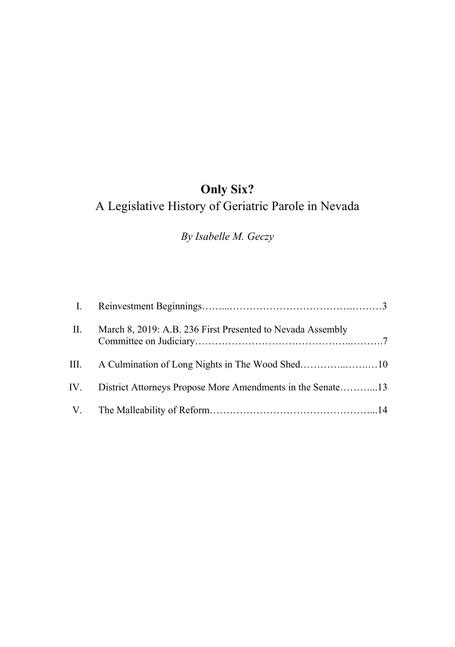*By Isabelle M. Geczy*

| II. | March 8, 2019: A.B. 236 First Presented to Nevada Assembly     |  |
|-----|----------------------------------------------------------------|--|
|     |                                                                |  |
|     | IV. District Attorneys Propose More Amendments in the Senate13 |  |
|     |                                                                |  |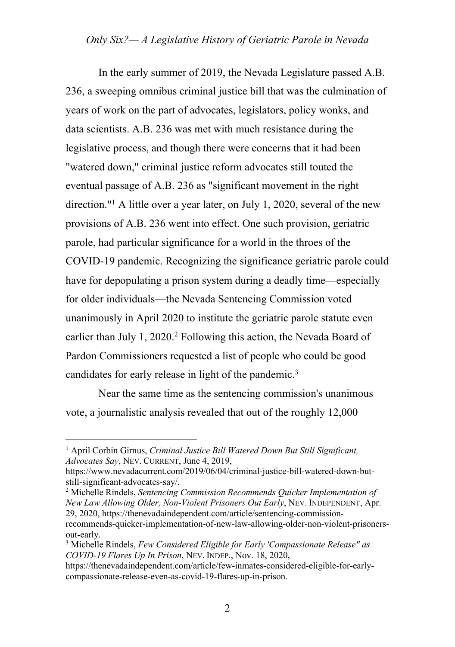In the early summer of 2019, the Nevada Legislature passed A.B. 236, a sweeping omnibus criminal justice bill that was the culmination of years of work on the part of advocates, legislators, policy wonks, and data scientists. A.B. 236 was met with much resistance during the legislative process, and though there were concerns that it had been "watered down," criminal justice reform advocates still touted the eventual passage of A.B. 236 as "significant movement in the right direction."1 A little over a year later, on July 1, 2020, several of the new provisions of A.B. 236 went into effect. One such provision, geriatric parole, had particular significance for a world in the throes of the COVID-19 pandemic. Recognizing the significance geriatric parole could have for depopulating a prison system during a deadly time—especially for older individuals—the Nevada Sentencing Commission voted unanimously in April 2020 to institute the geriatric parole statute even earlier than July 1, 2020.<sup>2</sup> Following this action, the Nevada Board of Pardon Commissioners requested a list of people who could be good candidates for early release in light of the pandemic.3

Near the same time as the sentencing commission's unanimous vote, a journalistic analysis revealed that out of the roughly 12,000

*New Law Allowing Older, Non-Violent Prisoners Out Early*, NEV. INDEPENDENT, Apr. 29, 2020, https://thenevadaindependent.com/article/sentencing-commissionrecommends-quicker-implementation-of-new-law-allowing-older-non-violent-prisonersout-early.

<sup>1</sup> April Corbin Girnus, *Criminal Justice Bill Watered Down But Still Significant, Advocates Say*, NEV. CURRENT, June 4, 2019,

https://www.nevadacurrent.com/2019/06/04/criminal-justice-bill-watered-down-butstill-significant-advocates-say/. 2 Michelle Rindels, *Sentencing Commission Recommends Quicker Implementation of* 

<sup>3</sup> Michelle Rindels, *Few Considered Eligible for Early 'Compassionate Release" as COVID-19 Flares Up In Prison*, NEV. INDEP., Nov. 18, 2020,

https://thenevadaindependent.com/article/few-inmates-considered-eligible-for-earlycompassionate-release-even-as-covid-19-flares-up-in-prison.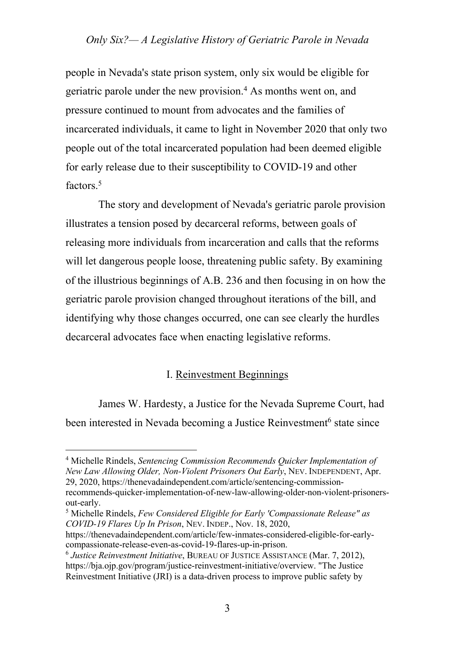people in Nevada's state prison system, only six would be eligible for geriatric parole under the new provision.4 As months went on, and pressure continued to mount from advocates and the families of incarcerated individuals, it came to light in November 2020 that only two people out of the total incarcerated population had been deemed eligible for early release due to their susceptibility to COVID-19 and other factors.<sup>5</sup>

The story and development of Nevada's geriatric parole provision illustrates a tension posed by decarceral reforms, between goals of releasing more individuals from incarceration and calls that the reforms will let dangerous people loose, threatening public safety. By examining of the illustrious beginnings of A.B. 236 and then focusing in on how the geriatric parole provision changed throughout iterations of the bill, and identifying why those changes occurred, one can see clearly the hurdles decarceral advocates face when enacting legislative reforms.

#### I. Reinvestment Beginnings

James W. Hardesty, a Justice for the Nevada Supreme Court, had been interested in Nevada becoming a Justice Reinvestment<sup>6</sup> state since

<sup>4</sup> Michelle Rindels, *Sentencing Commission Recommends Quicker Implementation of New Law Allowing Older, Non-Violent Prisoners Out Early*, NEV. INDEPENDENT, Apr. 29, 2020, https://thenevadaindependent.com/article/sentencing-commission-

recommends-quicker-implementation-of-new-law-allowing-older-non-violent-prisonersout-early.

<sup>5</sup> Michelle Rindels, *Few Considered Eligible for Early 'Compassionate Release" as COVID-19 Flares Up In Prison*, NEV. INDEP., Nov. 18, 2020,

https://thenevadaindependent.com/article/few-inmates-considered-eligible-for-earlycompassionate-release-even-as-covid-19-flares-up-in-prison.

<sup>6</sup> *Justice Reinvestment Initiative*, BUREAU OF JUSTICE ASSISTANCE (Mar. 7, 2012), https://bja.ojp.gov/program/justice-reinvestment-initiative/overview. "The Justice Reinvestment Initiative (JRI) is a data-driven process to improve public safety by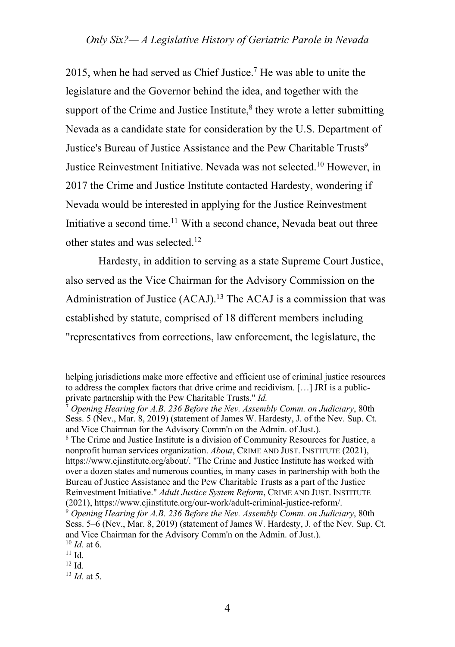2015, when he had served as Chief Justice.7 He was able to unite the legislature and the Governor behind the idea, and together with the support of the Crime and Justice Institute, ${}^{8}$  they wrote a letter submitting Nevada as a candidate state for consideration by the U.S. Department of Justice's Bureau of Justice Assistance and the Pew Charitable Trusts<sup>9</sup> Justice Reinvestment Initiative. Nevada was not selected.10 However, in 2017 the Crime and Justice Institute contacted Hardesty, wondering if Nevada would be interested in applying for the Justice Reinvestment Initiative a second time.<sup>11</sup> With a second chance, Nevada beat out three other states and was selected.<sup>12</sup>

Hardesty, in addition to serving as a state Supreme Court Justice, also served as the Vice Chairman for the Advisory Commission on the Administration of Justice  $(ACAJ)$ .<sup>13</sup> The ACAJ is a commission that was established by statute, comprised of 18 different members including "representatives from corrections, law enforcement, the legislature, the

helping jurisdictions make more effective and efficient use of criminal justice resources to address the complex factors that drive crime and recidivism. […] JRI is a publicprivate partnership with the Pew Charitable Trusts." *Id.* 

<sup>7</sup> *Opening Hearing for A.B. 236 Before the Nev. Assembly Comm. on Judiciary*, 80th Sess. 5 (Nev., Mar. 8, 2019) (statement of James W. Hardesty, J. of the Nev. Sup. Ct. and Vice Chairman for the Advisory Comm'n on the Admin. of Just.).

<sup>8</sup> The Crime and Justice Institute is a division of Community Resources for Justice, a nonprofit human services organization. *About*, CRIME AND JUST. INSTITUTE (2021), https://www.cjinstitute.org/about/. "The Crime and Justice Institute has worked with over a dozen states and numerous counties, in many cases in partnership with both the Bureau of Justice Assistance and the Pew Charitable Trusts as a part of the Justice Reinvestment Initiative." *Adult Justice System Reform*, CRIME AND JUST. INSTITUTE (2021), https://www.cjinstitute.org/our-work/adult-criminal-justice-reform/.

<sup>9</sup> *Opening Hearing for A.B. 236 Before the Nev. Assembly Comm. on Judiciary*, 80th Sess. 5–6 (Nev., Mar. 8, 2019) (statement of James W. Hardesty, J. of the Nev. Sup. Ct. and Vice Chairman for the Advisory Comm'n on the Admin. of Just.).  $10$  *Id.* at 6.

 $11$  Id.

<sup>12</sup> Id.

<sup>13</sup> *Id.* at 5.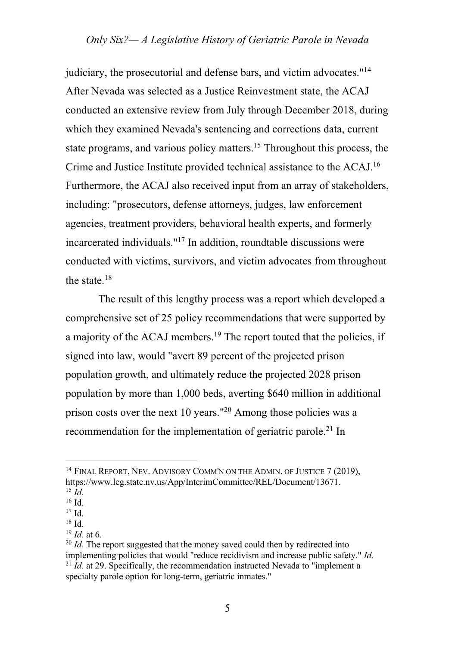judiciary, the prosecutorial and defense bars, and victim advocates."14 After Nevada was selected as a Justice Reinvestment state, the ACAJ conducted an extensive review from July through December 2018, during which they examined Nevada's sentencing and corrections data, current state programs, and various policy matters.15 Throughout this process, the Crime and Justice Institute provided technical assistance to the ACAJ.16 Furthermore, the ACAJ also received input from an array of stakeholders, including: "prosecutors, defense attorneys, judges, law enforcement agencies, treatment providers, behavioral health experts, and formerly incarcerated individuals."17 In addition, roundtable discussions were conducted with victims, survivors, and victim advocates from throughout the state.18

The result of this lengthy process was a report which developed a comprehensive set of 25 policy recommendations that were supported by a majority of the ACAJ members.19 The report touted that the policies, if signed into law, would "avert 89 percent of the projected prison population growth, and ultimately reduce the projected 2028 prison population by more than 1,000 beds, averting \$640 million in additional prison costs over the next 10 years."20 Among those policies was a recommendation for the implementation of geriatric parole.<sup>21</sup> In

<sup>&</sup>lt;sup>14</sup> FINAL REPORT, NEV. ADVISORY COMM'N ON THE ADMIN. OF JUSTICE 7 (2019), https://www.leg.state.nv.us/App/InterimCommittee/REL/Document/13671. 15 *Id.*

 $16$  Id.

<sup>17</sup> Id.

<sup>18</sup> Id.

<sup>19</sup> *Id.* at 6.

<sup>&</sup>lt;sup>20</sup> *Id.* The report suggested that the money saved could then by redirected into implementing policies that would "reduce recidivism and increase public safety." *Id.* <sup>21</sup> *Id.* at 29. Specifically, the recommendation instructed Nevada to "implement a specialty parole option for long-term, geriatric inmates."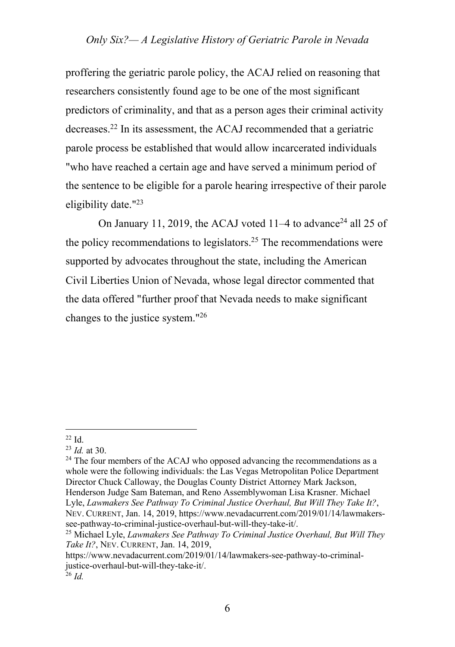proffering the geriatric parole policy, the ACAJ relied on reasoning that researchers consistently found age to be one of the most significant predictors of criminality, and that as a person ages their criminal activity decreases.22 In its assessment, the ACAJ recommended that a geriatric parole process be established that would allow incarcerated individuals "who have reached a certain age and have served a minimum period of the sentence to be eligible for a parole hearing irrespective of their parole eligibility date."23

On January 11, 2019, the ACAJ voted 11–4 to advance<sup>24</sup> all 25 of the policy recommendations to legislators.<sup>25</sup> The recommendations were supported by advocates throughout the state, including the American Civil Liberties Union of Nevada, whose legal director commented that the data offered "further proof that Nevada needs to make significant changes to the justice system."26

<sup>24</sup> The four members of the ACAJ who opposed advancing the recommendations as a whole were the following individuals: the Las Vegas Metropolitan Police Department Director Chuck Calloway, the Douglas County District Attorney Mark Jackson, Henderson Judge Sam Bateman, and Reno Assemblywoman Lisa Krasner. Michael Lyle, *Lawmakers See Pathway To Criminal Justice Overhaul, But Will They Take It?*, NEV. CURRENT, Jan. 14, 2019, https://www.nevadacurrent.com/2019/01/14/lawmakers-

 $^{22}$  Id.<br> $^{23}$  *Id.* at 30.

see-pathway-to-criminal-justice-overhaul-but-will-they-take-it/. 25 Michael Lyle, *Lawmakers See Pathway To Criminal Justice Overhaul, But Will They Take It?*, NEV. CURRENT, Jan. 14, 2019,

https://www.nevadacurrent.com/2019/01/14/lawmakers-see-pathway-to-criminaljustice-overhaul-but-will-they-take-it/. 26 *Id.*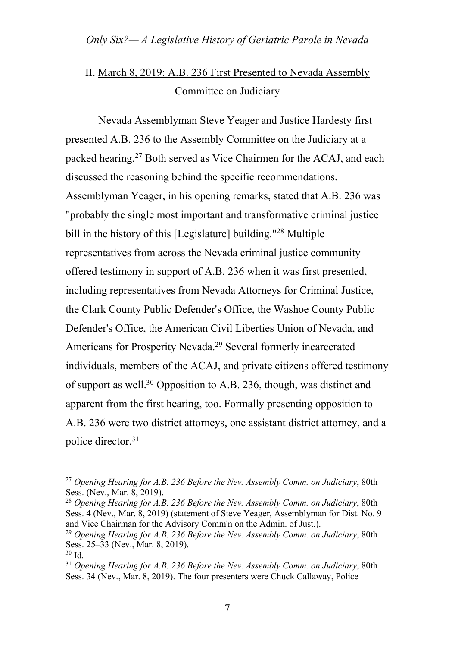# II. March 8, 2019: A.B. 236 First Presented to Nevada Assembly Committee on Judiciary

Nevada Assemblyman Steve Yeager and Justice Hardesty first presented A.B. 236 to the Assembly Committee on the Judiciary at a packed hearing.27 Both served as Vice Chairmen for the ACAJ, and each discussed the reasoning behind the specific recommendations. Assemblyman Yeager, in his opening remarks, stated that A.B. 236 was "probably the single most important and transformative criminal justice bill in the history of this [Legislature] building."<sup>28</sup> Multiple representatives from across the Nevada criminal justice community offered testimony in support of A.B. 236 when it was first presented, including representatives from Nevada Attorneys for Criminal Justice, the Clark County Public Defender's Office, the Washoe County Public Defender's Office, the American Civil Liberties Union of Nevada, and Americans for Prosperity Nevada.29 Several formerly incarcerated individuals, members of the ACAJ, and private citizens offered testimony of support as well.30 Opposition to A.B. 236, though, was distinct and apparent from the first hearing, too. Formally presenting opposition to A.B. 236 were two district attorneys, one assistant district attorney, and a police director. 31

<sup>27</sup> *Opening Hearing for A.B. 236 Before the Nev. Assembly Comm. on Judiciary*, 80th Sess. (Nev., Mar. 8, 2019).

<sup>28</sup> *Opening Hearing for A.B. 236 Before the Nev. Assembly Comm. on Judiciary*, 80th Sess. 4 (Nev., Mar. 8, 2019) (statement of Steve Yeager, Assemblyman for Dist. No. 9 and Vice Chairman for the Advisory Comm'n on the Admin. of Just.).

<sup>29</sup> *Opening Hearing for A.B. 236 Before the Nev. Assembly Comm. on Judiciary*, 80th Sess. 25–33 (Nev., Mar. 8, 2019).<br><sup>30</sup> Id.

<sup>&</sup>lt;sup>31</sup> Opening Hearing for A.B. 236 Before the Nev. Assembly Comm. on Judiciary, 80th Sess. 34 (Nev., Mar. 8, 2019). The four presenters were Chuck Callaway, Police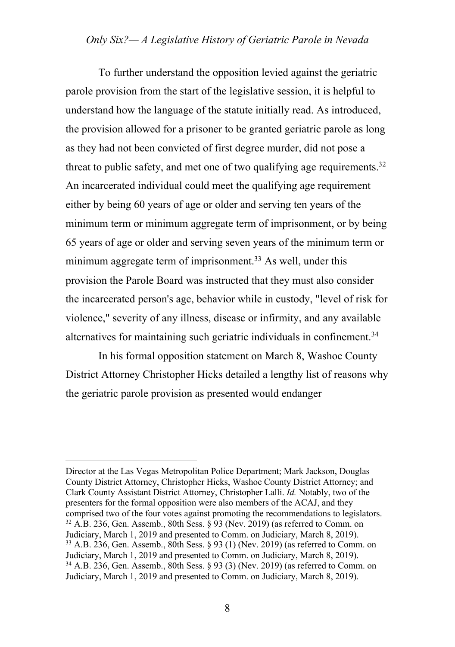To further understand the opposition levied against the geriatric parole provision from the start of the legislative session, it is helpful to understand how the language of the statute initially read. As introduced, the provision allowed for a prisoner to be granted geriatric parole as long as they had not been convicted of first degree murder, did not pose a threat to public safety, and met one of two qualifying age requirements. $32$ An incarcerated individual could meet the qualifying age requirement either by being 60 years of age or older and serving ten years of the minimum term or minimum aggregate term of imprisonment, or by being 65 years of age or older and serving seven years of the minimum term or minimum aggregate term of imprisonment.<sup>33</sup> As well, under this provision the Parole Board was instructed that they must also consider the incarcerated person's age, behavior while in custody, "level of risk for violence," severity of any illness, disease or infirmity, and any available alternatives for maintaining such geriatric individuals in confinement.<sup>34</sup>

In his formal opposition statement on March 8, Washoe County District Attorney Christopher Hicks detailed a lengthy list of reasons why the geriatric parole provision as presented would endanger

Director at the Las Vegas Metropolitan Police Department; Mark Jackson, Douglas County District Attorney, Christopher Hicks, Washoe County District Attorney; and Clark County Assistant District Attorney, Christopher Lalli. *Id.* Notably, two of the presenters for the formal opposition were also members of the ACAJ, and they comprised two of the four votes against promoting the recommendations to legislators.  $32$  A.B. 236, Gen. Assemb., 80th Sess. § 93 (Nev. 2019) (as referred to Comm. on Judiciary, March 1, 2019 and presented to Comm. on Judiciary, March 8, 2019).  $33$  A.B. 236, Gen. Assemb., 80th Sess. § 93 (1) (Nev. 2019) (as referred to Comm. on Judiciary, March 1, 2019 and presented to Comm. on Judiciary, March 8, 2019). <sup>34</sup> A.B. 236, Gen. Assemb., 80th Sess. § 93 (3) (Nev. 2019) (as referred to Comm. on Judiciary, March 1, 2019 and presented to Comm. on Judiciary, March 8, 2019).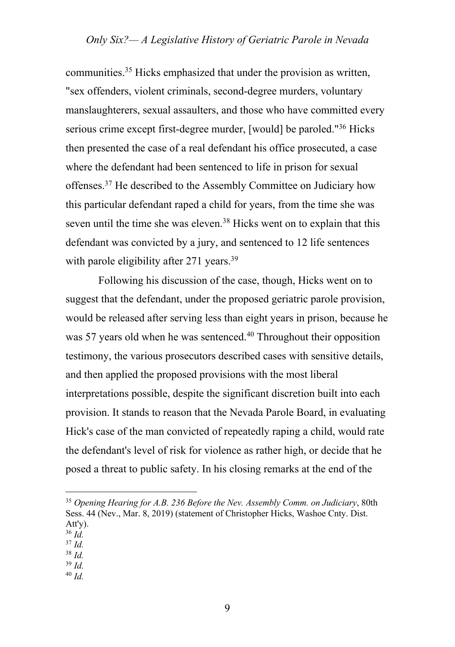communities.35 Hicks emphasized that under the provision as written, "sex offenders, violent criminals, second-degree murders, voluntary manslaughterers, sexual assaulters, and those who have committed every serious crime except first-degree murder, [would] be paroled."36 Hicks then presented the case of a real defendant his office prosecuted, a case where the defendant had been sentenced to life in prison for sexual offenses.<sup>37</sup> He described to the Assembly Committee on Judiciary how this particular defendant raped a child for years, from the time she was seven until the time she was eleven.<sup>38</sup> Hicks went on to explain that this defendant was convicted by a jury, and sentenced to 12 life sentences with parole eligibility after 271 years.<sup>39</sup>

Following his discussion of the case, though, Hicks went on to suggest that the defendant, under the proposed geriatric parole provision, would be released after serving less than eight years in prison, because he was 57 years old when he was sentenced.<sup>40</sup> Throughout their opposition testimony, the various prosecutors described cases with sensitive details, and then applied the proposed provisions with the most liberal interpretations possible, despite the significant discretion built into each provision. It stands to reason that the Nevada Parole Board, in evaluating Hick's case of the man convicted of repeatedly raping a child, would rate the defendant's level of risk for violence as rather high, or decide that he posed a threat to public safety. In his closing remarks at the end of the

- <sup>37</sup> *Id.*
- <sup>38</sup> *Id.*

<sup>40</sup> *Id.*

<sup>35</sup> *Opening Hearing for A.B. 236 Before the Nev. Assembly Comm. on Judiciary*, 80th Sess. 44 (Nev., Mar. 8, 2019) (statement of Christopher Hicks, Washoe Cnty. Dist. Att'y).

<sup>36</sup> *Id.*

<sup>39</sup> *Id.*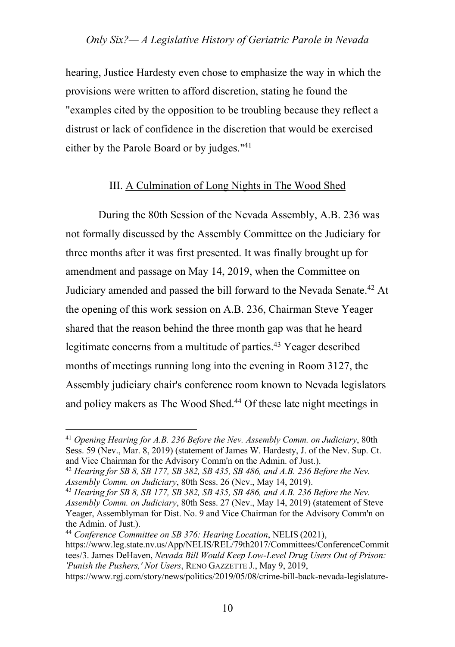hearing, Justice Hardesty even chose to emphasize the way in which the provisions were written to afford discretion, stating he found the "examples cited by the opposition to be troubling because they reflect a distrust or lack of confidence in the discretion that would be exercised either by the Parole Board or by judges."<sup>41</sup>

#### III. A Culmination of Long Nights in The Wood Shed

During the 80th Session of the Nevada Assembly, A.B. 236 was not formally discussed by the Assembly Committee on the Judiciary for three months after it was first presented. It was finally brought up for amendment and passage on May 14, 2019, when the Committee on Judiciary amended and passed the bill forward to the Nevada Senate.42 At the opening of this work session on A.B. 236, Chairman Steve Yeager shared that the reason behind the three month gap was that he heard legitimate concerns from a multitude of parties.43 Yeager described months of meetings running long into the evening in Room 3127, the Assembly judiciary chair's conference room known to Nevada legislators and policy makers as The Wood Shed.<sup>44</sup> Of these late night meetings in

<sup>41</sup> *Opening Hearing for A.B. 236 Before the Nev. Assembly Comm. on Judiciary*, 80th Sess. 59 (Nev., Mar. 8, 2019) (statement of James W. Hardesty, J. of the Nev. Sup. Ct. and Vice Chairman for the Advisory Comm'n on the Admin. of Just.).

<sup>42</sup> *Hearing for SB 8, SB 177, SB 382, SB 435, SB 486, and A.B. 236 Before the Nev. Assembly Comm. on Judiciary*, 80th Sess. 26 (Nev., May 14, 2019). 43 *Hearing for SB 8, SB 177, SB 382, SB 435, SB 486, and A.B. 236 Before the Nev.* 

*Assembly Comm. on Judiciary*, 80th Sess. 27 (Nev., May 14, 2019) (statement of Steve Yeager, Assemblyman for Dist. No. 9 and Vice Chairman for the Advisory Comm'n on the Admin. of Just.).

<sup>44</sup> *Conference Committee on SB 376: Hearing Location*, NELIS (2021), https://www.leg.state.nv.us/App/NELIS/REL/79th2017/Committees/ConferenceCommit tees/3. James DeHaven, *Nevada Bill Would Keep Low-Level Drug Users Out of Prison: 'Punish the Pushers,' Not Users*, RENO GAZZETTE J., May 9, 2019,

https://www.rgj.com/story/news/politics/2019/05/08/crime-bill-back-nevada-legislature-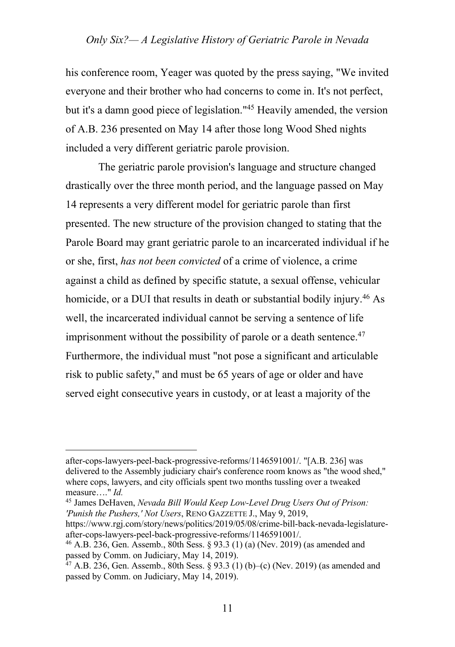his conference room, Yeager was quoted by the press saying, "We invited everyone and their brother who had concerns to come in. It's not perfect, but it's a damn good piece of legislation."45 Heavily amended, the version of A.B. 236 presented on May 14 after those long Wood Shed nights included a very different geriatric parole provision.

The geriatric parole provision's language and structure changed drastically over the three month period, and the language passed on May 14 represents a very different model for geriatric parole than first presented. The new structure of the provision changed to stating that the Parole Board may grant geriatric parole to an incarcerated individual if he or she, first, *has not been convicted* of a crime of violence, a crime against a child as defined by specific statute, a sexual offense, vehicular homicide, or a DUI that results in death or substantial bodily injury.<sup>46</sup> As well, the incarcerated individual cannot be serving a sentence of life imprisonment without the possibility of parole or a death sentence. $47$ Furthermore, the individual must "not pose a significant and articulable risk to public safety," and must be 65 years of age or older and have served eight consecutive years in custody, or at least a majority of the

<sup>45</sup> James DeHaven, *Nevada Bill Would Keep Low-Level Drug Users Out of Prison: 'Punish the Pushers,' Not Users*, RENO GAZZETTE J., May 9, 2019,

after-cops-lawyers-peel-back-progressive-reforms/1146591001/. "[A.B. 236] was delivered to the Assembly judiciary chair's conference room knows as "the wood shed," where cops, lawyers, and city officials spent two months tussling over a tweaked measure…." *Id.* 

https://www.rgj.com/story/news/politics/2019/05/08/crime-bill-back-nevada-legislatureafter-cops-lawyers-peel-back-progressive-reforms/1146591001/.

<sup>46</sup> A.B. 236, Gen. Assemb., 80th Sess. § 93.3 (1) (a) (Nev. 2019) (as amended and passed by Comm. on Judiciary, May 14, 2019).

<sup>&</sup>lt;sup>47</sup> A.B. 236, Gen. Assemb., 80th Sess. § 93.3 (1) (b)–(c) (Nev. 2019) (as amended and passed by Comm. on Judiciary, May 14, 2019).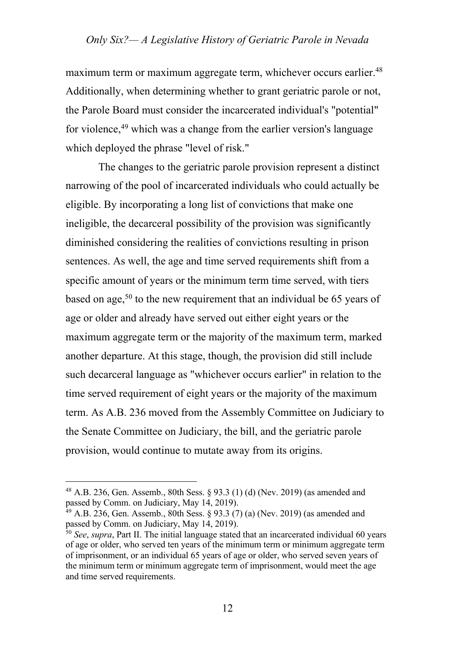maximum term or maximum aggregate term, whichever occurs earlier.<sup>48</sup> Additionally, when determining whether to grant geriatric parole or not, the Parole Board must consider the incarcerated individual's "potential" for violence,49 which was a change from the earlier version's language which deployed the phrase "level of risk."

The changes to the geriatric parole provision represent a distinct narrowing of the pool of incarcerated individuals who could actually be eligible. By incorporating a long list of convictions that make one ineligible, the decarceral possibility of the provision was significantly diminished considering the realities of convictions resulting in prison sentences. As well, the age and time served requirements shift from a specific amount of years or the minimum term time served, with tiers based on age,<sup>50</sup> to the new requirement that an individual be 65 years of age or older and already have served out either eight years or the maximum aggregate term or the majority of the maximum term, marked another departure. At this stage, though, the provision did still include such decarceral language as "whichever occurs earlier" in relation to the time served requirement of eight years or the majority of the maximum term. As A.B. 236 moved from the Assembly Committee on Judiciary to the Senate Committee on Judiciary, the bill, and the geriatric parole provision, would continue to mutate away from its origins.

<sup>48</sup> A.B. 236, Gen. Assemb., 80th Sess. § 93.3 (1) (d) (Nev. 2019) (as amended and passed by Comm. on Judiciary, May 14, 2019).

 $49$  A.B. 236, Gen. Assemb., 80th Sess. § 93.3 (7) (a) (Nev. 2019) (as amended and passed by Comm. on Judiciary, May 14, 2019).

<sup>50</sup> *See*, *supra*, Part II. The initial language stated that an incarcerated individual 60 years of age or older, who served ten years of the minimum term or minimum aggregate term of imprisonment, or an individual 65 years of age or older, who served seven years of the minimum term or minimum aggregate term of imprisonment, would meet the age and time served requirements.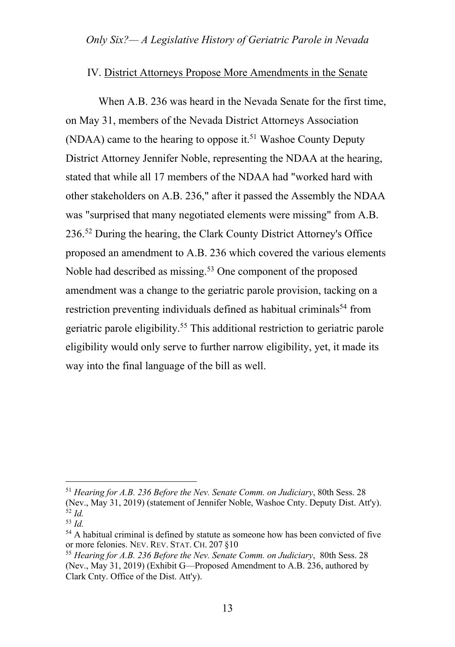#### IV. District Attorneys Propose More Amendments in the Senate

When A.B. 236 was heard in the Nevada Senate for the first time, on May 31, members of the Nevada District Attorneys Association (NDAA) came to the hearing to oppose it.<sup>51</sup> Washoe County Deputy District Attorney Jennifer Noble, representing the NDAA at the hearing, stated that while all 17 members of the NDAA had "worked hard with other stakeholders on A.B. 236," after it passed the Assembly the NDAA was "surprised that many negotiated elements were missing" from A.B. 236.52 During the hearing, the Clark County District Attorney's Office proposed an amendment to A.B. 236 which covered the various elements Noble had described as missing.<sup>53</sup> One component of the proposed amendment was a change to the geriatric parole provision, tacking on a restriction preventing individuals defined as habitual criminals<sup>54</sup> from geriatric parole eligibility.55 This additional restriction to geriatric parole eligibility would only serve to further narrow eligibility, yet, it made its way into the final language of the bill as well.

<sup>51</sup> *Hearing for A.B. 236 Before the Nev. Senate Comm. on Judiciary*, 80th Sess. 28 (Nev., May 31, 2019) (statement of Jennifer Noble, Washoe Cnty. Deputy Dist. Att'y). 52 *Id.*

<sup>53</sup> *Id.*

<sup>&</sup>lt;sup>54</sup> A habitual criminal is defined by statute as someone how has been convicted of five or more felonies. NEV. REV. STAT. CH. 207 §10

<sup>55</sup> *Hearing for A.B. 236 Before the Nev. Senate Comm. on Judiciary*, 80th Sess. 28 (Nev., May 31, 2019) (Exhibit G—Proposed Amendment to A.B. 236, authored by Clark Cnty. Office of the Dist. Att'y).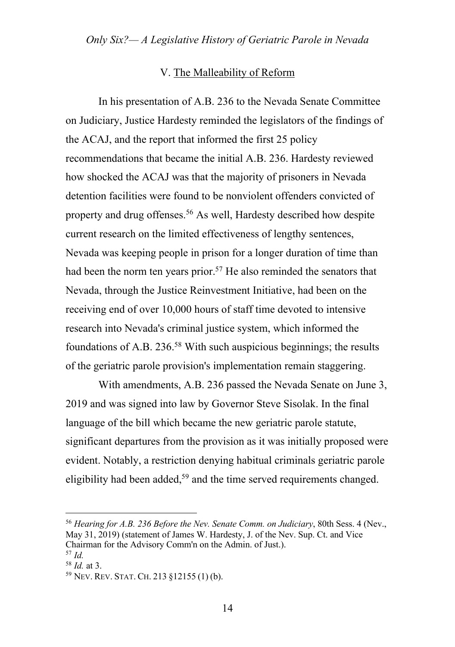## V. The Malleability of Reform

In his presentation of A.B. 236 to the Nevada Senate Committee on Judiciary, Justice Hardesty reminded the legislators of the findings of the ACAJ, and the report that informed the first 25 policy recommendations that became the initial A.B. 236. Hardesty reviewed how shocked the ACAJ was that the majority of prisoners in Nevada detention facilities were found to be nonviolent offenders convicted of property and drug offenses.56 As well, Hardesty described how despite current research on the limited effectiveness of lengthy sentences, Nevada was keeping people in prison for a longer duration of time than had been the norm ten years prior.<sup>57</sup> He also reminded the senators that Nevada, through the Justice Reinvestment Initiative, had been on the receiving end of over 10,000 hours of staff time devoted to intensive research into Nevada's criminal justice system, which informed the foundations of A.B.  $236^{58}$  With such auspicious beginnings; the results of the geriatric parole provision's implementation remain staggering.

With amendments, A.B. 236 passed the Nevada Senate on June 3, 2019 and was signed into law by Governor Steve Sisolak. In the final language of the bill which became the new geriatric parole statute, significant departures from the provision as it was initially proposed were evident. Notably, a restriction denying habitual criminals geriatric parole eligibility had been added,<sup>59</sup> and the time served requirements changed.

<sup>56</sup> *Hearing for A.B. 236 Before the Nev. Senate Comm. on Judiciary*, 80th Sess. 4 (Nev., May 31, 2019) (statement of James W. Hardesty, J. of the Nev. Sup. Ct. and Vice Chairman for the Advisory Comm'n on the Admin. of Just.).

<sup>57</sup> *Id.* 

<sup>&</sup>lt;sup>58</sup> *Id.* at 3.<br><sup>59</sup> Nev. Rev. Stat. Ch. 213 §12155 (1) (b).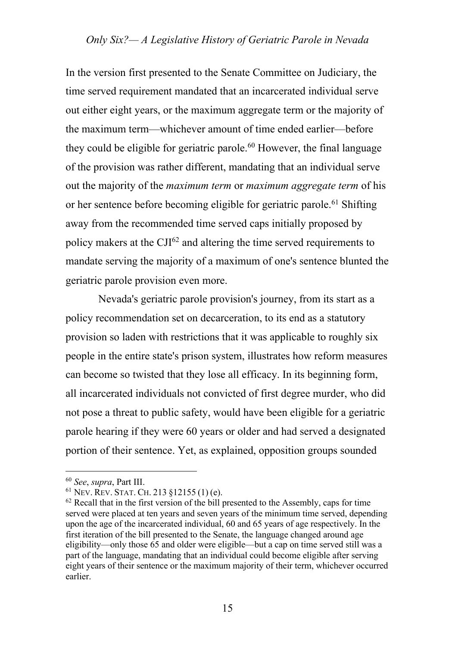In the version first presented to the Senate Committee on Judiciary, the time served requirement mandated that an incarcerated individual serve out either eight years, or the maximum aggregate term or the majority of the maximum term—whichever amount of time ended earlier—before they could be eligible for geriatric parole.<sup>60</sup> However, the final language of the provision was rather different, mandating that an individual serve out the majority of the *maximum term* or *maximum aggregate term* of his or her sentence before becoming eligible for geriatric parole.61 Shifting away from the recommended time served caps initially proposed by policy makers at the CJI62 and altering the time served requirements to mandate serving the majority of a maximum of one's sentence blunted the geriatric parole provision even more.

Nevada's geriatric parole provision's journey, from its start as a policy recommendation set on decarceration, to its end as a statutory provision so laden with restrictions that it was applicable to roughly six people in the entire state's prison system, illustrates how reform measures can become so twisted that they lose all efficacy. In its beginning form, all incarcerated individuals not convicted of first degree murder, who did not pose a threat to public safety, would have been eligible for a geriatric parole hearing if they were 60 years or older and had served a designated portion of their sentence. Yet, as explained, opposition groups sounded

<sup>60</sup> *See*, *supra*, Part III. 61 NEV. REV. STAT. CH. <sup>213</sup> §12155 (1) (e).

 $62$  Recall that in the first version of the bill presented to the Assembly, caps for time served were placed at ten years and seven years of the minimum time served, depending upon the age of the incarcerated individual, 60 and 65 years of age respectively. In the first iteration of the bill presented to the Senate, the language changed around age eligibility—only those 65 and older were eligible—but a cap on time served still was a part of the language, mandating that an individual could become eligible after serving eight years of their sentence or the maximum majority of their term, whichever occurred earlier.